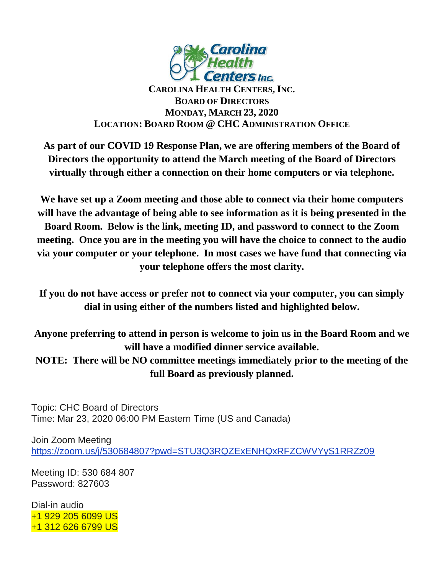

## **CAROLINA HEALTH CENTERS,INC. BOARD OF DIRECTORS MONDAY, MARCH 23, 2020 LOCATION: BOARD ROOM @ CHC ADMINISTRATION OFFICE**

**As part of our COVID 19 Response Plan, we are offering members of the Board of Directors the opportunity to attend the March meeting of the Board of Directors virtually through either a connection on their home computers or via telephone.** 

**We have set up a Zoom meeting and those able to connect via their home computers will have the advantage of being able to see information as it is being presented in the Board Room. Below is the link, meeting ID, and password to connect to the Zoom meeting. Once you are in the meeting you will have the choice to connect to the audio via your computer or your telephone. In most cases we have fund that connecting via your telephone offers the most clarity.**

**If you do not have access or prefer not to connect via your computer, you can simply dial in using either of the numbers listed and highlighted below.**

**Anyone preferring to attend in person is welcome to join us in the Board Room and we will have a modified dinner service available.**

**NOTE: There will be NO committee meetings immediately prior to the meeting of the full Board as previously planned.**

Topic: CHC Board of Directors Time: Mar 23, 2020 06:00 PM Eastern Time (US and Canada)

Join Zoom Meeting <https://zoom.us/j/530684807?pwd=STU3Q3RQZExENHQxRFZCWVYyS1RRZz09>

Meeting ID: 530 684 807 Password: 827603

Dial-in audio +1 929 205 6099 US +1 312 626 6799 US